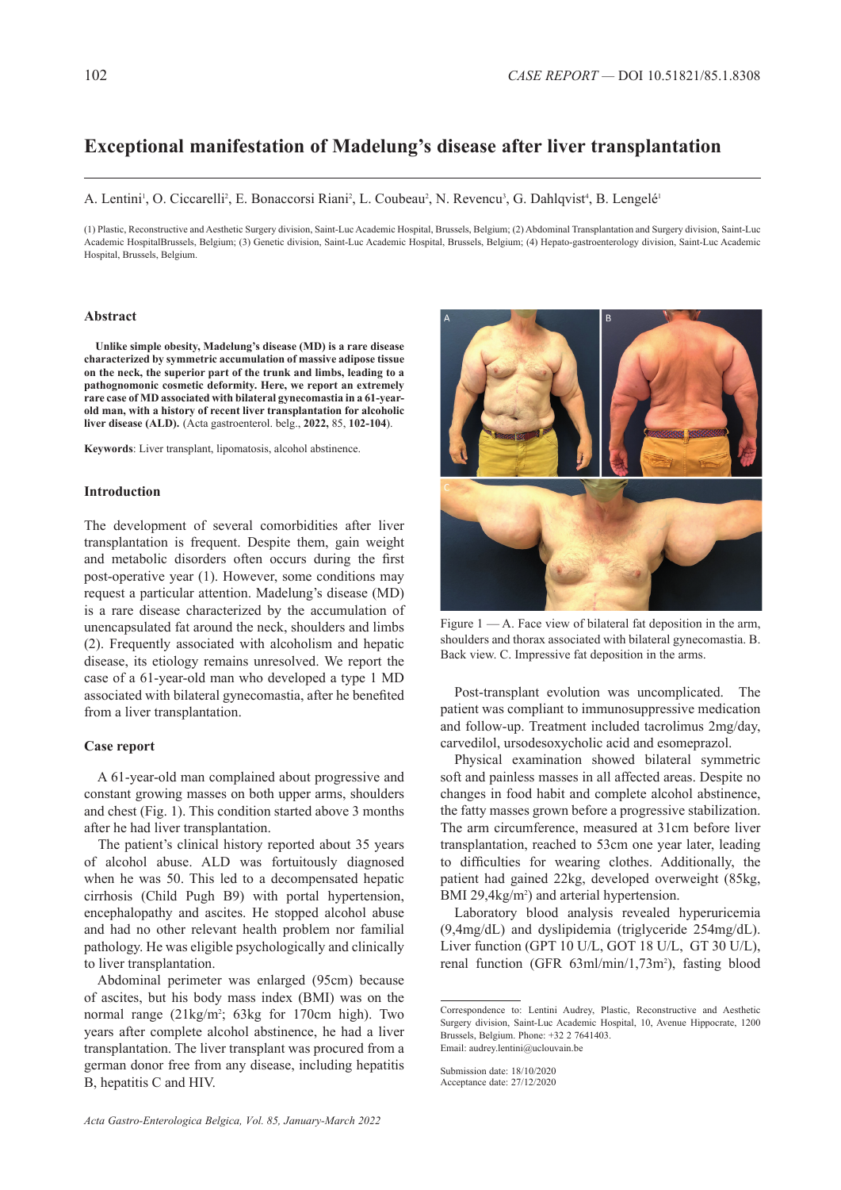# **Exceptional manifestation of Madelung's disease after liver transplantation**

#### A. Lentini<sup>1</sup>, O. Ciccarelli<sup>2</sup>, E. Bonaccorsi Riani<sup>2</sup>, L. Coubeau<sup>2</sup>, N. Revencu<sup>3</sup>, G. Dahlqvist<sup>4</sup>, B. Lengelé<sup>1</sup>

(1) Plastic, Reconstructive and Aesthetic Surgery division, Saint-Luc Academic Hospital, Brussels, Belgium; (2) Abdominal Transplantation and Surgery division, Saint-Luc Academic HospitalBrussels, Belgium; (3) Genetic division, Saint-Luc Academic Hospital, Brussels, Belgium; (4) Hepato-gastroenterology division, Saint-Luc Academic Hospital, Brussels, Belgium.

#### **Abstract**

**Unlike simple obesity, Madelung's disease (MD) is a rare disease characterized by symmetric accumulation of massive adipose tissue on the neck, the superior part of the trunk and limbs, leading to a pathognomonic cosmetic deformity. Here, we report an extremely rare case of MD associated with bilateral gynecomastia in a 61-yearold man, with a history of recent liver transplantation for alcoholic liver disease (ALD).** (Acta gastroenterol. belg., **2022,** 85, **102-104**).

**Keywords**: Liver transplant, lipomatosis, alcohol abstinence.

### **Introduction**

The development of several comorbidities after liver transplantation is frequent. Despite them, gain weight and metabolic disorders often occurs during the first post-operative year (1). However, some conditions may request a particular attention. Madelung's disease (MD) is a rare disease characterized by the accumulation of unencapsulated fat around the neck, shoulders and limbs (2). Frequently associated with alcoholism and hepatic disease, its etiology remains unresolved. We report the case of a 61-year-old man who developed a type 1 MD associated with bilateral gynecomastia, after he benefited from a liver transplantation.

## **Case report**

A 61-year-old man complained about progressive and constant growing masses on both upper arms, shoulders and chest (Fig. 1). This condition started above 3 months after he had liver transplantation.

The patient's clinical history reported about 35 years of alcohol abuse. ALD was fortuitously diagnosed when he was 50. This led to a decompensated hepatic cirrhosis (Child Pugh B9) with portal hypertension, encephalopathy and ascites. He stopped alcohol abuse and had no other relevant health problem nor familial pathology. He was eligible psychologically and clinically to liver transplantation.

Abdominal perimeter was enlarged (95cm) because of ascites, but his body mass index (BMI) was on the normal range (21kg/m<sup>2</sup>; 63kg for 170cm high). Two years after complete alcohol abstinence, he had a liver transplantation. The liver transplant was procured from a german donor free from any disease, including hepatitis B, hepatitis C and HIV.



Figure 1 — A. Face view of bilateral fat deposition in the arm, shoulders and thorax associated with bilateral gynecomastia. B. Back view. C. Impressive fat deposition in the arms.

Post-transplant evolution was uncomplicated. The patient was compliant to immunosuppressive medication and follow-up. Treatment included tacrolimus 2mg/day, carvedilol, ursodesoxycholic acid and esomeprazol.

Physical examination showed bilateral symmetric soft and painless masses in all affected areas. Despite no changes in food habit and complete alcohol abstinence, the fatty masses grown before a progressive stabilization. The arm circumference, measured at 31cm before liver transplantation, reached to 53cm one year later, leading to difficulties for wearing clothes. Additionally, the patient had gained 22kg, developed overweight (85kg, BMI 29,4kg/m<sup>2</sup>) and arterial hypertension.

Laboratory blood analysis revealed hyperuricemia (9,4mg/dL) and dyslipidemia (triglyceride 254mg/dL). Liver function (GPT 10 U/L, GOT 18 U/L, GT 30 U/L), renal function (GFR 63ml/min/1,73m<sup>2</sup>), fasting blood

Correspondence to: Lentini Audrey, Plastic, Reconstructive and Aesthetic Surgery division, Saint-Luc Academic Hospital, 10, Avenue Hippocrate, 1200 Brussels, Belgium. Phone: +32 2 7641403. Email: audrey.lentini@uclouvain.be

Submission date: 18/10/2020 Acceptance date: 27/12/2020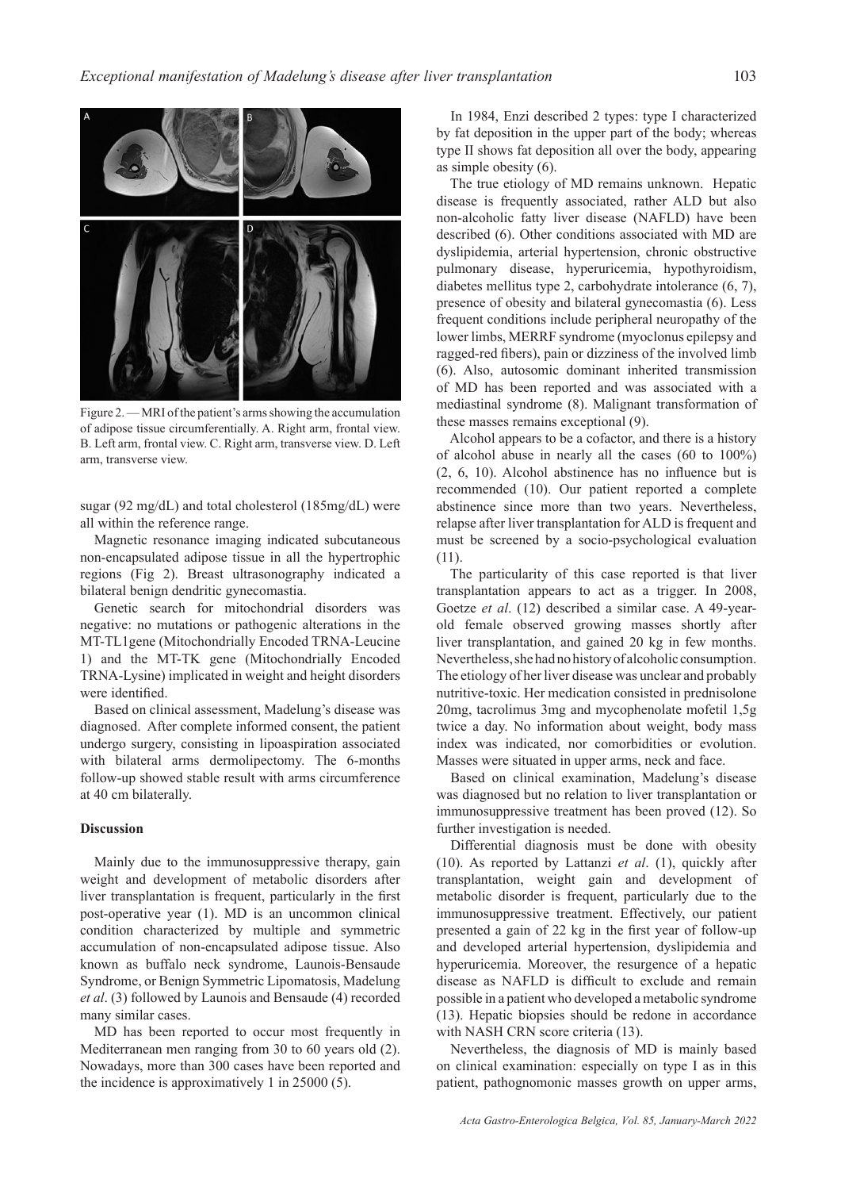

Figure 2. — MRI of the patient's arms showing the accumulation of adipose tissue circumferentially. A. Right arm, frontal view. B. Left arm, frontal view. C. Right arm, transverse view. D. Left arm, transverse view.

sugar (92 mg/dL) and total cholesterol (185mg/dL) were all within the reference range.

Magnetic resonance imaging indicated subcutaneous non-encapsulated adipose tissue in all the hypertrophic regions (Fig 2). Breast ultrasonography indicated a bilateral benign dendritic gynecomastia.

Genetic search for mitochondrial disorders was negative: no mutations or pathogenic alterations in the MT-TL1gene (Mitochondrially Encoded TRNA-Leucine 1) and the MT-TK gene (Mitochondrially Encoded TRNA-Lysine) implicated in weight and height disorders were identified.

Based on clinical assessment, Madelung's disease was diagnosed. After complete informed consent, the patient undergo surgery, consisting in lipoaspiration associated with bilateral arms dermolipectomy. The 6-months follow-up showed stable result with arms circumference at 40 cm bilaterally.

# **Discussion**

Mainly due to the immunosuppressive therapy, gain weight and development of metabolic disorders after liver transplantation is frequent, particularly in the first post-operative year (1). MD is an uncommon clinical condition characterized by multiple and symmetric accumulation of non-encapsulated adipose tissue. Also known as buffalo neck syndrome, Launois-Bensaude Syndrome, or Benign Symmetric Lipomatosis, Madelung *et al*. (3) followed by Launois and Bensaude (4) recorded many similar cases.

MD has been reported to occur most frequently in Mediterranean men ranging from 30 to 60 years old (2). Nowadays, more than 300 cases have been reported and the incidence is approximatively 1 in 25000 (5).

In 1984, Enzi described 2 types: type I characterized by fat deposition in the upper part of the body; whereas type II shows fat deposition all over the body, appearing as simple obesity (6).

The true etiology of MD remains unknown. Hepatic disease is frequently associated, rather ALD but also non-alcoholic fatty liver disease (NAFLD) have been described (6). Other conditions associated with MD are dyslipidemia, arterial hypertension, chronic obstructive pulmonary disease, hyperuricemia, hypothyroidism, diabetes mellitus type 2, carbohydrate intolerance (6, 7), presence of obesity and bilateral gynecomastia (6). Less frequent conditions include peripheral neuropathy of the lower limbs, MERRF syndrome (myoclonus epilepsy and ragged-red fibers), pain or dizziness of the involved limb (6). Also, autosomic dominant inherited transmission of MD has been reported and was associated with a mediastinal syndrome (8). Malignant transformation of these masses remains exceptional (9).

Alcohol appears to be a cofactor, and there is a history of alcohol abuse in nearly all the cases (60 to 100%) (2, 6, 10). Alcohol abstinence has no influence but is recommended (10). Our patient reported a complete abstinence since more than two years. Nevertheless, relapse after liver transplantation for ALD is frequent and must be screened by a socio-psychological evaluation (11).

The particularity of this case reported is that liver transplantation appears to act as a trigger. In 2008, Goetze *et al*. (12) described a similar case. A 49-yearold female observed growing masses shortly after liver transplantation, and gained 20 kg in few months. Nevertheless, she had no history of alcoholic consumption. The etiology of her liver disease was unclear and probably nutritive-toxic. Her medication consisted in prednisolone 20mg, tacrolimus 3mg and mycophenolate mofetil 1,5g twice a day. No information about weight, body mass index was indicated, nor comorbidities or evolution. Masses were situated in upper arms, neck and face.

Based on clinical examination, Madelung's disease was diagnosed but no relation to liver transplantation or immunosuppressive treatment has been proved (12). So further investigation is needed.

Differential diagnosis must be done with obesity (10). As reported by Lattanzi *et al*. (1), quickly after transplantation, weight gain and development of metabolic disorder is frequent, particularly due to the immunosuppressive treatment. Effectively, our patient presented a gain of 22 kg in the first year of follow-up and developed arterial hypertension, dyslipidemia and hyperuricemia. Moreover, the resurgence of a hepatic disease as NAFLD is difficult to exclude and remain possible in a patient who developed a metabolic syndrome (13). Hepatic biopsies should be redone in accordance with NASH CRN score criteria (13).

Nevertheless, the diagnosis of MD is mainly based on clinical examination: especially on type I as in this patient, pathognomonic masses growth on upper arms,